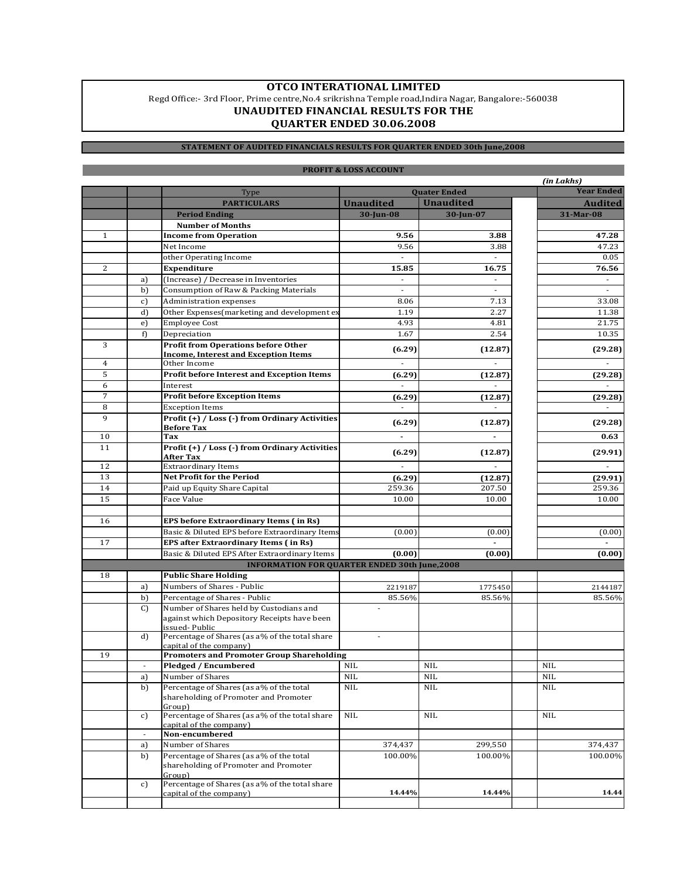## **UNAUDITED FINANCIAL RESULTS FOR THE QUARTER ENDED 30.06.2008 OTCO INTERATIONAL LIMITED** Regd Office:- 3rd Floor, Prime centre,No.4 srikrishna Temple road,Indira Nagar, Bangalore:-560038

## **STATEMENT OF AUDITED FINANCIALS RESULTS FOR QUARTER ENDED 30th June,2008**

|              |    |                                                                             |                          |                          |  | (in Lakhs)               |
|--------------|----|-----------------------------------------------------------------------------|--------------------------|--------------------------|--|--------------------------|
|              |    | Type                                                                        | <b>Quater Ended</b>      |                          |  | <b>Year Ended</b>        |
|              |    | <b>PARTICULARS</b>                                                          | <b>Unaudited</b>         | <b>Unaudited</b>         |  | <b>Audited</b>           |
|              |    | <b>Period Ending</b>                                                        | 30-Jun-08                | 30-Jun-07                |  | 31-Mar-08                |
|              |    | <b>Number of Months</b>                                                     |                          |                          |  |                          |
| $\mathbf{1}$ |    | <b>Income from Operation</b>                                                | 9.56                     | 3.88                     |  | 47.28                    |
|              |    | Net Income                                                                  | 9.56                     | 3.88                     |  | 47.23                    |
|              |    | other Operating Income                                                      | $\blacksquare$           | $\overline{\phantom{a}}$ |  | 0.05                     |
| 2            |    | Expenditure                                                                 | 15.85                    | 16.75                    |  | 76.56                    |
|              | a) | (Increase) / Decrease in Inventories                                        | $\overline{\phantom{a}}$ | $\overline{\phantom{a}}$ |  | $\overline{\phantom{a}}$ |
|              | b) | Consumption of Raw & Packing Materials                                      | $\overline{\phantom{a}}$ | $\sim$                   |  | $\overline{\phantom{a}}$ |
|              | c) | Administration expenses                                                     | 8.06                     | 7.13                     |  | 33.08                    |
|              | d) | Other Expenses(marketing and development ex-                                | 1.19                     | 2.27                     |  | 11.38                    |
|              | e) | <b>Employee Cost</b>                                                        | 4.93                     | 4.81                     |  | 21.75                    |
|              | f) | Depreciation                                                                | 1.67                     | 2.54                     |  | 10.35                    |
| 3            |    | <b>Profit from Operations before Other</b>                                  | (6.29)                   | (12.87)                  |  | (29.28)                  |
| 4            |    | <b>Income, Interest and Exception Items</b><br>Other Income                 | $\overline{\phantom{a}}$ | $\overline{\phantom{a}}$ |  | $\overline{\phantom{a}}$ |
| 5            |    | <b>Profit before Interest and Exception Items</b>                           |                          |                          |  |                          |
| 6            |    | Interest                                                                    | (6.29)                   | (12.87)                  |  | (29.28)                  |
| 7            |    | <b>Profit before Exception Items</b>                                        |                          |                          |  |                          |
| 8            |    |                                                                             | (6.29)                   | (12.87)                  |  | (29.28)                  |
| 9            |    | <b>Exception Items</b><br>Profit (+) / Loss (-) from Ordinary Activities    |                          |                          |  |                          |
|              |    | <b>Before Tax</b>                                                           | (6.29)                   | (12.87)                  |  | (29.28)                  |
| 10           |    | Tax                                                                         | $\overline{a}$           | $\blacksquare$           |  | 0.63                     |
| 11           |    | Profit (+) / Loss (-) from Ordinary Activities                              |                          |                          |  |                          |
|              |    | After Tax                                                                   | (6.29)                   | (12.87)                  |  | (29.91)                  |
| 12           |    | <b>Extraordinary Items</b>                                                  |                          |                          |  |                          |
| 13           |    | <b>Net Profit for the Period</b>                                            | (6.29)                   | (12.87)                  |  | (29.91)                  |
| 14           |    | Paid up Equity Share Capital                                                | 259.36                   | 207.50                   |  | 259.36                   |
| 15           |    | Face Value                                                                  | 10.00                    | 10.00                    |  | 10.00                    |
|              |    |                                                                             |                          |                          |  |                          |
| 16           |    | <b>EPS before Extraordinary Items (in Rs)</b>                               |                          |                          |  |                          |
|              |    | Basic & Diluted EPS before Extraordinary Items                              | (0.00)                   | (0.00)                   |  | (0.00)                   |
| 17           |    | <b>EPS after Extraordinary Items (in Rs)</b>                                |                          |                          |  |                          |
|              |    | Basic & Diluted EPS After Extraordinary Items                               | (0.00)                   | (0.00)                   |  | (0.00)                   |
|              |    | <b>INFORMATION FOR QUARTER ENDED 30th June,2008</b>                         |                          |                          |  |                          |
| 18           |    | <b>Public Share Holding</b>                                                 |                          |                          |  |                          |
|              | a) | Numbers of Shares - Public                                                  | 2219187                  | 1775450                  |  | 2144187                  |
|              | b) | Percentage of Shares - Public                                               | 85.56%                   | 85.56%                   |  | 85.56%                   |
|              | C) | Number of Shares held by Custodians and                                     |                          |                          |  |                          |
|              |    | against which Depository Receipts have been                                 |                          |                          |  |                          |
|              |    | issued-Public                                                               |                          |                          |  |                          |
|              | d) | Percentage of Shares (as a% of the total share                              | $\overline{a}$           |                          |  |                          |
| 19           |    | capital of the company)<br><b>Promoters and Promoter Group Shareholding</b> |                          |                          |  |                          |
|              |    | Pledged / Encumbered                                                        | <b>NIL</b>               | <b>NIL</b>               |  | <b>NIL</b>               |
|              | a) | Number of Shares                                                            | NIL                      | NIL                      |  | NIL                      |
|              | b) | Percentage of Shares (as a% of the total                                    | <b>NIL</b>               | <b>NIL</b>               |  | <b>NIL</b>               |
|              |    | shareholding of Promoter and Promoter                                       |                          |                          |  |                          |
|              |    | Group)                                                                      |                          |                          |  |                          |
|              | c) | Percentage of Shares (as a% of the total share                              | NIL                      | <b>NIL</b>               |  | <b>NIL</b>               |
|              |    | capital of the company)                                                     |                          |                          |  |                          |
|              | ÷, | Non-encumbered                                                              |                          |                          |  |                          |
|              | a) | Number of Shares                                                            | 374,437                  | 299,550                  |  | 374,437                  |
|              | b) | Percentage of Shares (as a% of the total                                    | 100.00%                  | 100.00%                  |  | 100.00%                  |
|              |    | shareholding of Promoter and Promoter<br>Group)                             |                          |                          |  |                          |
|              | c) | Percentage of Shares (as a% of the total share                              |                          |                          |  |                          |
|              |    | capital of the company)                                                     | 14.44%                   | 14.44%                   |  | 14.44                    |
|              |    |                                                                             |                          |                          |  |                          |

## **PROFIT & LOSS ACCOUNT**